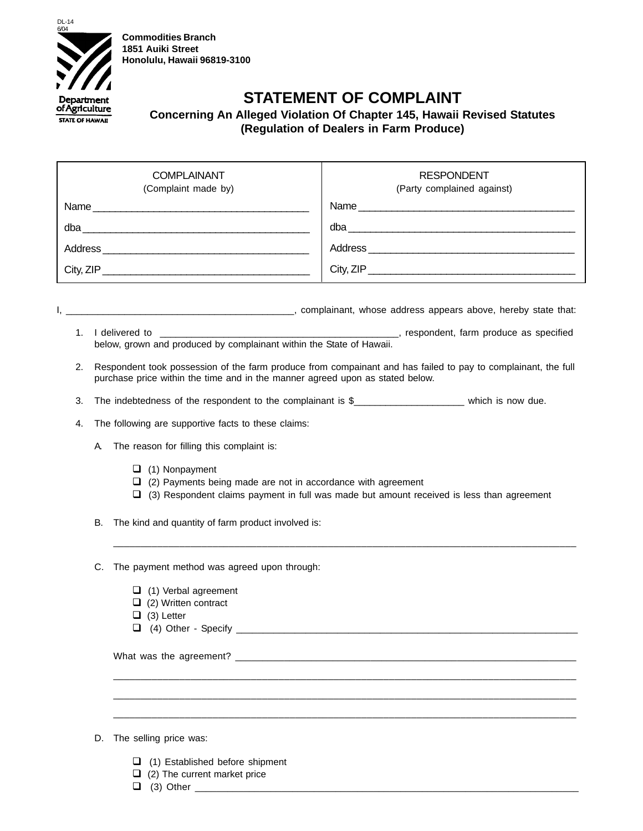

**Commodities Branch 1851 Auiki Street Honolulu, Hawaii 96819-3100**

## **STATEMENT OF COMPLAINT**

## **Concerning An Alleged Violation Of Chapter 145, Hawaii Revised Statutes (Regulation of Dealers in Farm Produce)**

| <b>COMPLAINANT</b><br>(Complaint made by)                                                                                            | <b>RESPONDENT</b><br>(Party complained against)                                                               |
|--------------------------------------------------------------------------------------------------------------------------------------|---------------------------------------------------------------------------------------------------------------|
|                                                                                                                                      |                                                                                                               |
|                                                                                                                                      |                                                                                                               |
|                                                                                                                                      |                                                                                                               |
|                                                                                                                                      | City, ZIP                                                                                                     |
| 1.                                                                                                                                   |                                                                                                               |
| below, grown and produced by complainant within the State of Hawaii.                                                                 |                                                                                                               |
| 2.<br>purchase price within the time and in the manner agreed upon as stated below.                                                  | Respondent took possession of the farm produce from compainant and has failed to pay to complainant, the full |
| 3.                                                                                                                                   |                                                                                                               |
| The following are supportive facts to these claims:<br>4.                                                                            |                                                                                                               |
| The reason for filling this complaint is:<br>A                                                                                       |                                                                                                               |
| $\Box$ (1) Nonpayment<br>$\Box$ (2) Payments being made are not in accordance with agreement                                         | $\Box$ (3) Respondent claims payment in full was made but amount received is less than agreement              |
| The kind and quantity of farm product involved is:<br>В.                                                                             |                                                                                                               |
| C.<br>The payment method was agreed upon through:<br>$\Box$ (1) Verbal agreement<br>$\Box$ (2) Written contract<br>$\Box$ (3) Letter |                                                                                                               |
| $\Box$ (4) Other - Specify                                                                                                           |                                                                                                               |
|                                                                                                                                      |                                                                                                               |
|                                                                                                                                      |                                                                                                               |
|                                                                                                                                      |                                                                                                               |
| The selling price was:<br>D.                                                                                                         |                                                                                                               |

- (1) Established before shipment
- $\Box$  (2) The current market price
- $\Box$  (3) Other  $\Box$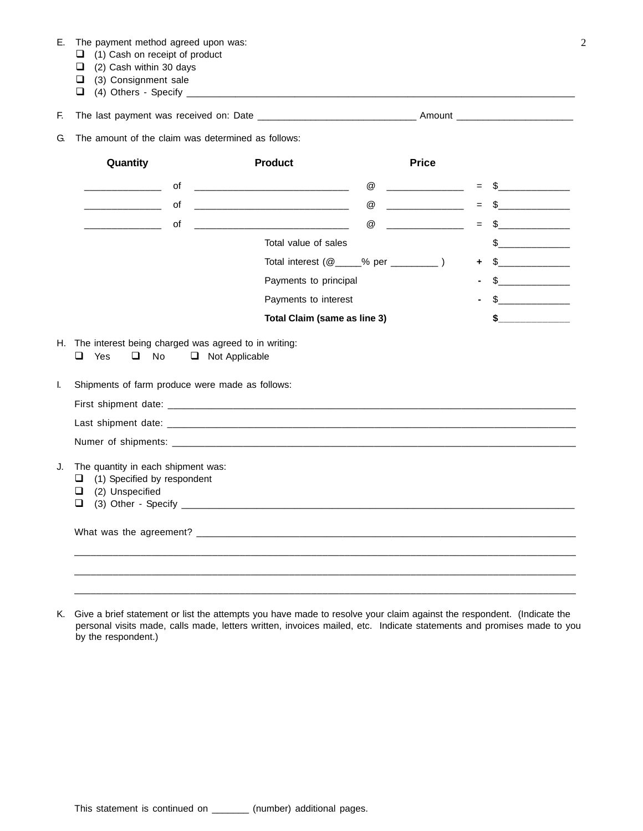|  | Е. |  | The payment method agreed upon was: |  |  |  |  |
|--|----|--|-------------------------------------|--|--|--|--|
|--|----|--|-------------------------------------|--|--|--|--|

- (1) Cash on receipt of product
- $\Box$  (2) Cash within 30 days
- (3) Consignment sale
- (4) Others Specify \_\_\_\_\_\_\_\_\_\_\_\_\_\_\_\_\_\_\_\_\_\_\_\_\_\_\_\_\_\_\_\_\_\_\_\_\_\_\_\_\_\_\_\_\_\_\_\_\_\_\_\_\_\_\_\_\_\_\_\_\_\_\_\_\_\_\_\_\_\_\_\_

F. The last payment was received on: Date \_\_\_\_\_\_\_\_\_\_\_\_\_\_\_\_\_\_\_\_\_\_\_\_\_\_\_\_\_\_ Amount \_\_\_\_\_\_\_\_\_\_\_\_\_\_\_\_\_\_\_\_\_\_

G. The amount of the claim was determined as follows:

|                                                                                                     | <b>Product</b>                                                  | <b>Price</b>                          |       |                      |
|-----------------------------------------------------------------------------------------------------|-----------------------------------------------------------------|---------------------------------------|-------|----------------------|
| of                                                                                                  | @                                                               | _____________________                 | $\!=$ |                      |
| οf                                                                                                  | @                                                               | <u> La Carlo de la Carlo de la Ca</u> | $=$   | $S$ ________________ |
| of                                                                                                  | $^\circledR$<br><u> 1950 - Johann John Harrison, martin a</u>   |                                       | $\!=$ | $\mathbb{S}$         |
|                                                                                                     | Total value of sales                                            |                                       |       | \$                   |
|                                                                                                     | Total interest $(\mathbb{Q}_{\text{max}})$ % per $\text{max}$ ) |                                       | ÷     | $\frac{1}{2}$        |
|                                                                                                     | Payments to principal                                           |                                       |       | $\sim$               |
|                                                                                                     | Payments to interest                                            |                                       |       |                      |
|                                                                                                     | Total Claim (same as line 3)                                    |                                       |       |                      |
|                                                                                                     |                                                                 |                                       |       |                      |
|                                                                                                     |                                                                 |                                       |       |                      |
|                                                                                                     |                                                                 |                                       |       |                      |
| The quantity in each shipment was:<br>(1) Specified by respondent<br>⊔<br>(2) Unspecified<br>⊔<br>ப |                                                                 |                                       |       |                      |
|                                                                                                     |                                                                 |                                       |       |                      |
|                                                                                                     |                                                                 |                                       |       |                      |
|                                                                                                     |                                                                 |                                       |       |                      |

K. Give a brief statement or list the attempts you have made to resolve your claim against the respondent. (Indicate the personal visits made, calls made, letters written, invoices mailed, etc. Indicate statements and promises made to you by the respondent.)